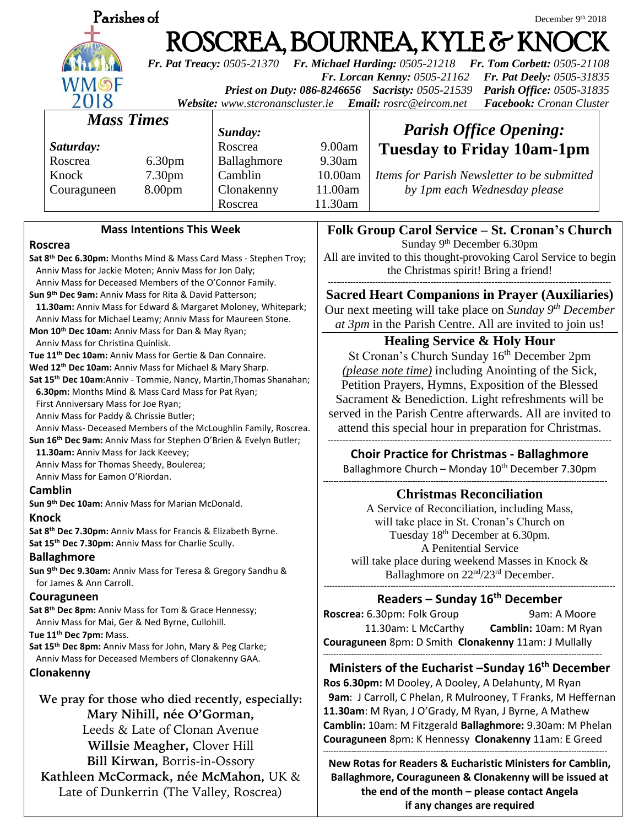| Parishes of<br>December 9th 2018                                                                                                                                                                                                                                                                                                                                                            |                       |                                                                                                                                                                               |                                                                                                                     |  |
|---------------------------------------------------------------------------------------------------------------------------------------------------------------------------------------------------------------------------------------------------------------------------------------------------------------------------------------------------------------------------------------------|-----------------------|-------------------------------------------------------------------------------------------------------------------------------------------------------------------------------|---------------------------------------------------------------------------------------------------------------------|--|
|                                                                                                                                                                                                                                                                                                                                                                                             |                       |                                                                                                                                                                               | ROSCREA, BOURNEA, KYLE & KNOCK<br><b>Fr. Tom Corbett: 0505-21108</b>                                                |  |
| Fr. Pat Treacy: 0505-21370 Fr. Michael Harding: 0505-21218<br>Fr. Lorcan Kenny: 0505-21162<br>Fr. Pat Deely: 0505-31835<br>WMSF<br>Priest on Duty: 086-8246656 Sacristy: 0505-21539<br><b>Parish Office: 0505-31835</b><br>2018<br>Website: www.stcronanscluster.ie<br>Email: rosrc@eircom.net<br>Facebook: Cronan Cluster                                                                  |                       |                                                                                                                                                                               |                                                                                                                     |  |
| <b>Mass Times</b>                                                                                                                                                                                                                                                                                                                                                                           |                       |                                                                                                                                                                               |                                                                                                                     |  |
| Sunday:                                                                                                                                                                                                                                                                                                                                                                                     |                       |                                                                                                                                                                               | <b>Parish Office Opening:</b>                                                                                       |  |
| Saturday:                                                                                                                                                                                                                                                                                                                                                                                   | Roscrea               | 9.00am                                                                                                                                                                        | <b>Tuesday to Friday 10am-1pm</b>                                                                                   |  |
| Roscrea<br>6.30 <sub>pm</sub><br>Knock                                                                                                                                                                                                                                                                                                                                                      | Ballaghmore           | 9.30am                                                                                                                                                                        |                                                                                                                     |  |
| 7.30 <sub>pm</sub><br>8.00pm                                                                                                                                                                                                                                                                                                                                                                | Camblin<br>Clonakenny | 10.00am<br>11.00am                                                                                                                                                            | Items for Parish Newsletter to be submitted                                                                         |  |
| Couraguneen                                                                                                                                                                                                                                                                                                                                                                                 | Roscrea               | 11.30am                                                                                                                                                                       | by 1pm each Wednesday please                                                                                        |  |
|                                                                                                                                                                                                                                                                                                                                                                                             |                       |                                                                                                                                                                               |                                                                                                                     |  |
| <b>Mass Intentions This Week</b><br>Roscrea                                                                                                                                                                                                                                                                                                                                                 |                       | Folk Group Carol Service – St. Cronan's Church<br>Sunday 9 <sup>th</sup> December 6.30pm                                                                                      |                                                                                                                     |  |
| Sat 8th Dec 6.30pm: Months Mind & Mass Card Mass - Stephen Troy;<br>Anniv Mass for Jackie Moten; Anniv Mass for Jon Daly;<br>Anniv Mass for Deceased Members of the O'Connor Family.<br>Sun 9 <sup>th</sup> Dec 9am: Anniv Mass for Rita & David Patterson;<br>11.30am: Anniv Mass for Edward & Margaret Moloney, Whitepark;<br>Anniv Mass for Michael Leamy; Anniv Mass for Maureen Stone. |                       | All are invited to this thought-provoking Carol Service to begin<br>the Christmas spirit! Bring a friend!                                                                     |                                                                                                                     |  |
|                                                                                                                                                                                                                                                                                                                                                                                             |                       | <b>Sacred Heart Companions in Prayer (Auxiliaries)</b><br>Our next meeting will take place on Sunday 9th December<br>at 3pm in the Parish Centre. All are invited to join us! |                                                                                                                     |  |
| Mon 10 <sup>th</sup> Dec 10am: Anniv Mass for Dan & May Ryan;                                                                                                                                                                                                                                                                                                                               |                       |                                                                                                                                                                               |                                                                                                                     |  |
| Anniv Mass for Christina Quinlisk.<br>Tue 11 <sup>th</sup> Dec 10am: Anniv Mass for Gertie & Dan Connaire.                                                                                                                                                                                                                                                                                  |                       | <b>Healing Service &amp; Holy Hour</b><br>St Cronan's Church Sunday 16th December 2pm                                                                                         |                                                                                                                     |  |
| Wed 12 <sup>th</sup> Dec 10am: Anniv Mass for Michael & Mary Sharp.                                                                                                                                                                                                                                                                                                                         |                       | (please note time) including Anointing of the Sick,                                                                                                                           |                                                                                                                     |  |
| Sat 15 <sup>th</sup> Dec 10am:Anniv - Tommie, Nancy, Martin, Thomas Shanahan;                                                                                                                                                                                                                                                                                                               |                       | Petition Prayers, Hymns, Exposition of the Blessed                                                                                                                            |                                                                                                                     |  |
| 6.30pm: Months Mind & Mass Card Mass for Pat Ryan;                                                                                                                                                                                                                                                                                                                                          |                       | Sacrament & Benediction. Light refreshments will be                                                                                                                           |                                                                                                                     |  |
| First Anniversary Mass for Joe Ryan;<br>Anniv Mass for Paddy & Chrissie Butler;                                                                                                                                                                                                                                                                                                             |                       | served in the Parish Centre afterwards. All are invited to                                                                                                                    |                                                                                                                     |  |
| Anniv Mass- Deceased Members of the McLoughlin Family, Roscrea.                                                                                                                                                                                                                                                                                                                             |                       | attend this special hour in preparation for Christmas.                                                                                                                        |                                                                                                                     |  |
| Sun 16 <sup>th</sup> Dec 9am: Anniv Mass for Stephen O'Brien & Evelyn Butler;                                                                                                                                                                                                                                                                                                               |                       |                                                                                                                                                                               |                                                                                                                     |  |
| 11.30am: Anniv Mass for Jack Keevey;<br>Anniv Mass for Thomas Sheedy, Boulerea;<br>Anniy Mass for Eamon O'Riordan.                                                                                                                                                                                                                                                                          |                       | <b>Choir Practice for Christmas - Ballaghmore</b><br>Ballaghmore Church - Monday 10 <sup>th</sup> December 7.30pm                                                             |                                                                                                                     |  |
| <b>Camblin</b>                                                                                                                                                                                                                                                                                                                                                                              |                       | <b>Christmas Reconciliation</b>                                                                                                                                               |                                                                                                                     |  |
| Sun 9th Dec 10am: Anniv Mass for Marian McDonald.                                                                                                                                                                                                                                                                                                                                           |                       | A Service of Reconciliation, including Mass,                                                                                                                                  |                                                                                                                     |  |
| Knock                                                                                                                                                                                                                                                                                                                                                                                       |                       | will take place in St. Cronan's Church on                                                                                                                                     |                                                                                                                     |  |
| Sat 8 <sup>th</sup> Dec 7.30pm: Anniv Mass for Francis & Elizabeth Byrne.<br>Sat 15th Dec 7.30pm: Anniv Mass for Charlie Scully.                                                                                                                                                                                                                                                            |                       | Tuesday 18 <sup>th</sup> December at 6.30pm.                                                                                                                                  |                                                                                                                     |  |
| <b>Ballaghmore</b>                                                                                                                                                                                                                                                                                                                                                                          |                       | A Penitential Service                                                                                                                                                         |                                                                                                                     |  |
| Sun 9 <sup>th</sup> Dec 9.30am: Anniv Mass for Teresa & Gregory Sandhu &                                                                                                                                                                                                                                                                                                                    |                       | will take place during weekend Masses in Knock &<br>Ballaghmore on 22 <sup>nd</sup> /23 <sup>rd</sup> December.                                                               |                                                                                                                     |  |
| for James & Ann Carroll.                                                                                                                                                                                                                                                                                                                                                                    |                       |                                                                                                                                                                               |                                                                                                                     |  |
| Couraguneen                                                                                                                                                                                                                                                                                                                                                                                 |                       |                                                                                                                                                                               | Readers - Sunday 16 <sup>th</sup> December                                                                          |  |
| Sat 8th Dec 8pm: Anniv Mass for Tom & Grace Hennessy;                                                                                                                                                                                                                                                                                                                                       |                       | Roscrea: 6.30pm: Folk Group<br>9am: A Moore                                                                                                                                   |                                                                                                                     |  |
| Anniv Mass for Mai, Ger & Ned Byrne, Cullohill.<br>Tue 11 <sup>th</sup> Dec 7pm: Mass.                                                                                                                                                                                                                                                                                                      |                       | 11.30am: L McCarthy<br>Camblin: 10am: M Ryan                                                                                                                                  |                                                                                                                     |  |
| Sat 15th Dec 8pm: Anniv Mass for John, Mary & Peg Clarke;                                                                                                                                                                                                                                                                                                                                   |                       | Couraguneen 8pm: D Smith Clonakenny 11am: J Mullally                                                                                                                          |                                                                                                                     |  |
| Anniv Mass for Deceased Members of Clonakenny GAA.                                                                                                                                                                                                                                                                                                                                          |                       |                                                                                                                                                                               |                                                                                                                     |  |
| Clonakenny                                                                                                                                                                                                                                                                                                                                                                                  |                       |                                                                                                                                                                               | Ministers of the Eucharist -Sunday 16 <sup>th</sup> December<br>Ros 6.30pm: M Dooley, A Dooley, A Delahunty, M Ryan |  |
|                                                                                                                                                                                                                                                                                                                                                                                             |                       |                                                                                                                                                                               | 9am: J Carroll, C Phelan, R Mulrooney, T Franks, M Heffernan                                                        |  |
| We pray for those who died recently, especially:<br>Mary Nihill, née O'Gorman,                                                                                                                                                                                                                                                                                                              |                       | 11.30am: M Ryan, J O'Grady, M Ryan, J Byrne, A Mathew                                                                                                                         |                                                                                                                     |  |
|                                                                                                                                                                                                                                                                                                                                                                                             |                       | Camblin: 10am: M Fitzgerald Ballaghmore: 9.30am: M Phelan                                                                                                                     |                                                                                                                     |  |
| Leeds & Late of Clonan Avenue                                                                                                                                                                                                                                                                                                                                                               |                       |                                                                                                                                                                               | Couraguneen 8pm: K Hennessy Clonakenny 11am: E Greed                                                                |  |
| Willsie Meagher, Clover Hill                                                                                                                                                                                                                                                                                                                                                                |                       |                                                                                                                                                                               |                                                                                                                     |  |
| Bill Kirwan, Borris-in-Ossory                                                                                                                                                                                                                                                                                                                                                               |                       |                                                                                                                                                                               | New Rotas for Readers & Eucharistic Ministers for Camblin,                                                          |  |
| Kathleen McCormack, née McMahon, UK &                                                                                                                                                                                                                                                                                                                                                       |                       |                                                                                                                                                                               | Ballaghmore, Couraguneen & Clonakenny will be issued at                                                             |  |
| Late of Dunkerrin (The Valley, Roscrea)                                                                                                                                                                                                                                                                                                                                                     |                       |                                                                                                                                                                               | the end of the month - please contact Angela                                                                        |  |

**if any changes are required**